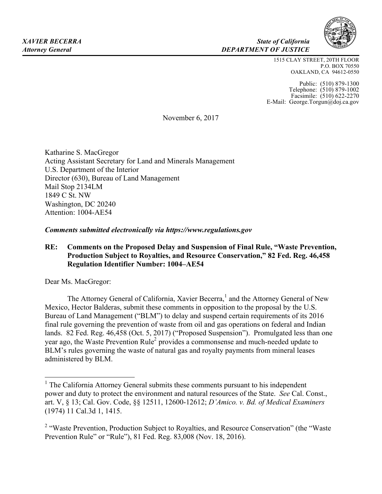

#### *XAVIER BECERRA State of California Attorney General DEPARTMENT OF JUSTICE*

1515 CLAY STREET, 20TH FLOOR P.O. BOX 70550 OAKLAND, CA 94612-0550

Public: (510) 879-1300 Telephone: (510) 879-1002 Facsimile: (510) 622-2270 E-Mail: George.Torgun@doj.ca.gov

November 6, 2017

Katharine S. MacGregor Acting Assistant Secretary for Land and Minerals Management U.S. Department of the Interior Director (630), Bureau of Land Management Mail Stop 2134LM 1849 C St. NW Washington, DC 20240 Attention: 1004-AE54

*Comments submitted electronically via https://www.regulations.gov*

# **RE: Comments on the Proposed Delay and Suspension of Final Rule, "Waste Prevention, Production Subject to Royalties, and Resource Conservation," 82 Fed. Reg. 46,458 Regulation Identifier Number: 1004–AE54**

Dear Ms. MacGregor:

The Attorney General of California, Xavier Becerra,<sup>1</sup> and the Attorney General of New Mexico, Hector Balderas, submit these comments in opposition to the proposal by the U.S. Bureau of Land Management ("BLM") to delay and suspend certain requirements of its 2016 final rule governing the prevention of waste from oil and gas operations on federal and Indian lands. 82 Fed. Reg. 46,458 (Oct. 5, 2017) ("Proposed Suspension"). Promulgated less than one year ago, the Waste Prevention Rule<sup>2</sup> provides a commonsense and much-needed update to BLM's rules governing the waste of natural gas and royalty payments from mineral leases administered by BLM.

 $<sup>1</sup>$  The California Attorney General submits these comments pursuant to his independent</sup> power and duty to protect the environment and natural resources of the State. *See* Cal. Const., art. V, § 13; Cal. Gov. Code, §§ 12511, 12600-12612; *D'Amico. v. Bd. of Medical Examiners* (1974) 11 Cal.3d 1, 1415.

<sup>&</sup>lt;sup>2</sup> "Waste Prevention, Production Subject to Royalties, and Resource Conservation" (the "Waste" Prevention Rule" or "Rule"), 81 Fed. Reg. 83,008 (Nov. 18, 2016).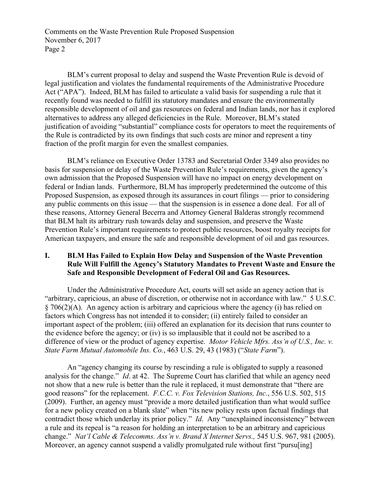BLM's current proposal to delay and suspend the Waste Prevention Rule is devoid of legal justification and violates the fundamental requirements of the Administrative Procedure Act ("APA"). Indeed, BLM has failed to articulate a valid basis for suspending a rule that it recently found was needed to fulfill its statutory mandates and ensure the environmentally responsible development of oil and gas resources on federal and Indian lands, nor has it explored alternatives to address any alleged deficiencies in the Rule. Moreover, BLM's stated justification of avoiding "substantial" compliance costs for operators to meet the requirements of the Rule is contradicted by its own findings that such costs are minor and represent a tiny fraction of the profit margin for even the smallest companies.

BLM's reliance on Executive Order 13783 and Secretarial Order 3349 also provides no basis for suspension or delay of the Waste Prevention Rule's requirements, given the agency's own admission that the Proposed Suspension will have no impact on energy development on federal or Indian lands. Furthermore, BLM has improperly predetermined the outcome of this Proposed Suspension, as exposed through its assurances in court filings — prior to considering any public comments on this issue — that the suspension is in essence a done deal. For all of these reasons, Attorney General Becerra and Attorney General Balderas strongly recommend that BLM halt its arbitrary rush towards delay and suspension, and preserve the Waste Prevention Rule's important requirements to protect public resources, boost royalty receipts for American taxpayers, and ensure the safe and responsible development of oil and gas resources.

# **I. BLM Has Failed to Explain How Delay and Suspension of the Waste Prevention Rule Will Fulfill the Agency's Statutory Mandates to Prevent Waste and Ensure the Safe and Responsible Development of Federal Oil and Gas Resources.**

Under the Administrative Procedure Act, courts will set aside an agency action that is "arbitrary, capricious, an abuse of discretion, or otherwise not in accordance with law." 5 U.S.C. § 706(2)(A). An agency action is arbitrary and capricious where the agency (i) has relied on factors which Congress has not intended it to consider; (ii) entirely failed to consider an important aspect of the problem; (iii) offered an explanation for its decision that runs counter to the evidence before the agency; or (iv) is so implausible that it could not be ascribed to a difference of view or the product of agency expertise. *Motor Vehicle Mfrs. Ass'n of U.S., Inc. v. State Farm Mutual Automobile Ins. Co.*, 463 U.S. 29, 43 (1983) ("*State Farm*").

An "agency changing its course by rescinding a rule is obligated to supply a reasoned analysis for the change." *Id*. at 42. The Supreme Court has clarified that while an agency need not show that a new rule is better than the rule it replaced, it must demonstrate that "there are good reasons" for the replacement. *F.C.C. v. Fox Television Stations, Inc.*, 556 U.S. 502, 515 (2009). Further, an agency must "provide a more detailed justification than what would suffice for a new policy created on a blank slate" when "its new policy rests upon factual findings that contradict those which underlay its prior policy." *Id*. Any "unexplained inconsistency" between a rule and its repeal is "a reason for holding an interpretation to be an arbitrary and capricious change." *Nat'l Cable & Telecomms. Ass'n v. Brand X Internet Servs.,* 545 U.S. 967, 981 (2005). Moreover, an agency cannot suspend a validly promulgated rule without first "pursuling]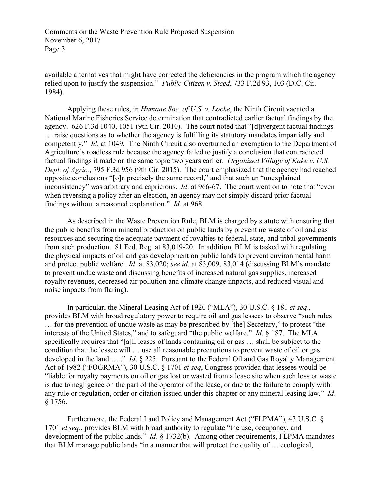available alternatives that might have corrected the deficiencies in the program which the agency relied upon to justify the suspension." *Public Citizen v. Steed*, 733 F.2d 93, 103 (D.C. Cir. 1984).

Applying these rules, in *Humane Soc. of U.S. v. Locke*, the Ninth Circuit vacated a National Marine Fisheries Service determination that contradicted earlier factual findings by the agency. 626 F.3d 1040, 1051 (9th Cir. 2010). The court noted that "[d]ivergent factual findings … raise questions as to whether the agency is fulfilling its statutory mandates impartially and competently." *Id*. at 1049. The Ninth Circuit also overturned an exemption to the Department of Agriculture's roadless rule because the agency failed to justify a conclusion that contradicted factual findings it made on the same topic two years earlier. *Organized Village of Kake v. U.S. Dept. of Agric.*, 795 F.3d 956 (9th Cir. 2015). The court emphasized that the agency had reached opposite conclusions "[o]n precisely the same record," and that such an "unexplained inconsistency" was arbitrary and capricious. *Id*. at 966-67. The court went on to note that "even when reversing a policy after an election, an agency may not simply discard prior factual findings without a reasoned explanation." *Id*. at 968.

As described in the Waste Prevention Rule, BLM is charged by statute with ensuring that the public benefits from mineral production on public lands by preventing waste of oil and gas resources and securing the adequate payment of royalties to federal, state, and tribal governments from such production. 81 Fed. Reg. at 83,019-20. In addition, BLM is tasked with regulating the physical impacts of oil and gas development on public lands to prevent environmental harm and protect public welfare. *Id*. at 83,020; *see id.* at 83,009, 83,014 (discussing BLM's mandate to prevent undue waste and discussing benefits of increased natural gas supplies, increased royalty revenues, decreased air pollution and climate change impacts, and reduced visual and noise impacts from flaring).

In particular, the Mineral Leasing Act of 1920 ("MLA"), 30 U.S.C. § 181 *et seq*., provides BLM with broad regulatory power to require oil and gas lessees to observe "such rules … for the prevention of undue waste as may be prescribed by [the] Secretary," to protect "the interests of the United States," and to safeguard "the public welfare." *Id*. § 187. The MLA specifically requires that "[a]ll leases of lands containing oil or gas … shall be subject to the condition that the lessee will … use all reasonable precautions to prevent waste of oil or gas developed in the land … ." *Id*. § 225. Pursuant to the Federal Oil and Gas Royalty Management Act of 1982 ("FOGRMA"), 30 U.S.C. § 1701 *et seq*, Congress provided that lessees would be "liable for royalty payments on oil or gas lost or wasted from a lease site when such loss or waste is due to negligence on the part of the operator of the lease, or due to the failure to comply with any rule or regulation, order or citation issued under this chapter or any mineral leasing law." *Id*. § 1756.

Furthermore, the Federal Land Policy and Management Act ("FLPMA"), 43 U.S.C. § 1701 *et seq*., provides BLM with broad authority to regulate "the use, occupancy, and development of the public lands." *Id*. § 1732(b). Among other requirements, FLPMA mandates that BLM manage public lands "in a manner that will protect the quality of … ecological,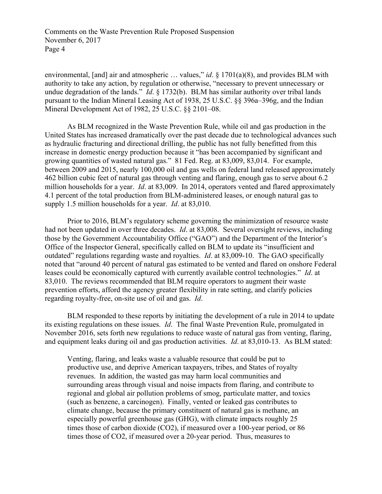environmental, [and] air and atmospheric ... values," *id*. § 1701(a)(8), and provides BLM with authority to take any action, by regulation or otherwise, "necessary to prevent unnecessary or undue degradation of the lands." *Id*. § 1732(b). BLM has similar authority over tribal lands pursuant to the Indian Mineral Leasing Act of 1938, 25 U.S.C. §§ 396a–396g, and the Indian Mineral Development Act of 1982, 25 U.S.C. §§ 2101–08.

As BLM recognized in the Waste Prevention Rule, while oil and gas production in the United States has increased dramatically over the past decade due to technological advances such as hydraulic fracturing and directional drilling, the public has not fully benefitted from this increase in domestic energy production because it "has been accompanied by significant and growing quantities of wasted natural gas." 81 Fed. Reg. at 83,009, 83,014. For example, between 2009 and 2015, nearly 100,000 oil and gas wells on federal land released approximately 462 billion cubic feet of natural gas through venting and flaring, enough gas to serve about 6.2 million households for a year. *Id*. at 83,009. In 2014, operators vented and flared approximately 4.1 percent of the total production from BLM-administered leases, or enough natural gas to supply 1.5 million households for a year. *Id*. at 83,010.

Prior to 2016, BLM's regulatory scheme governing the minimization of resource waste had not been updated in over three decades. *Id*. at 83,008. Several oversight reviews, including those by the Government Accountability Office ("GAO") and the Department of the Interior's Office of the Inspector General, specifically called on BLM to update its "insufficient and outdated" regulations regarding waste and royalties. *Id*. at 83,009-10. The GAO specifically noted that "around 40 percent of natural gas estimated to be vented and flared on onshore Federal leases could be economically captured with currently available control technologies." *Id*. at 83,010. The reviews recommended that BLM require operators to augment their waste prevention efforts, afford the agency greater flexibility in rate setting, and clarify policies regarding royalty-free, on-site use of oil and gas. *Id*.

BLM responded to these reports by initiating the development of a rule in 2014 to update its existing regulations on these issues. *Id*. The final Waste Prevention Rule, promulgated in November 2016, sets forth new regulations to reduce waste of natural gas from venting, flaring, and equipment leaks during oil and gas production activities. *Id*. at 83,010-13. As BLM stated:

Venting, flaring, and leaks waste a valuable resource that could be put to productive use, and deprive American taxpayers, tribes, and States of royalty revenues. In addition, the wasted gas may harm local communities and surrounding areas through visual and noise impacts from flaring, and contribute to regional and global air pollution problems of smog, particulate matter, and toxics (such as benzene, a carcinogen). Finally, vented or leaked gas contributes to climate change, because the primary constituent of natural gas is methane, an especially powerful greenhouse gas (GHG), with climate impacts roughly 25 times those of carbon dioxide (CO2), if measured over a 100-year period, or 86 times those of CO2, if measured over a 20-year period. Thus, measures to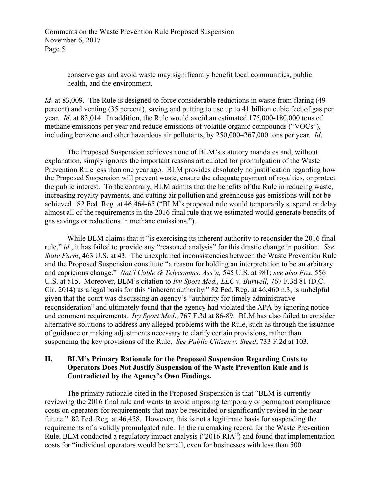> conserve gas and avoid waste may significantly benefit local communities, public health, and the environment.

*Id.* at 83,009. The Rule is designed to force considerable reductions in waste from flaring (49) percent) and venting (35 percent), saving and putting to use up to 41 billion cubic feet of gas per year. *Id*. at 83,014. In addition, the Rule would avoid an estimated 175,000-180,000 tons of methane emissions per year and reduce emissions of volatile organic compounds ("VOCs"), including benzene and other hazardous air pollutants, by 250,000–267,000 tons per year. *Id*.

The Proposed Suspension achieves none of BLM's statutory mandates and, without explanation, simply ignores the important reasons articulated for promulgation of the Waste Prevention Rule less than one year ago. BLM provides absolutely no justification regarding how the Proposed Suspension will prevent waste, ensure the adequate payment of royalties, or protect the public interest. To the contrary, BLM admits that the benefits of the Rule in reducing waste, increasing royalty payments, and cutting air pollution and greenhouse gas emissions will not be achieved. 82 Fed. Reg. at 46,464-65 ("BLM's proposed rule would temporarily suspend or delay almost all of the requirements in the 2016 final rule that we estimated would generate benefits of gas savings or reductions in methane emissions.").

While BLM claims that it "is exercising its inherent authority to reconsider the 2016 final rule," *id*., it has failed to provide any "reasoned analysis" for this drastic change in position. *See State Farm*, 463 U.S. at 43. The unexplained inconsistencies between the Waste Prevention Rule and the Proposed Suspension constitute "a reason for holding an interpretation to be an arbitrary and capricious change." *Nat'l Cable & Telecomms. Ass'n,* 545 U.S. at 981; *see also Fox*, 556 U.S. at 515. Moreover, BLM's citation to *Ivy Sport Med., LLC v. Burwell*, 767 F.3d 81 (D.C. Cir. 2014) as a legal basis for this "inherent authority," 82 Fed. Reg. at 46,460 n.3, is unhelpful given that the court was discussing an agency's "authority for timely administrative reconsideration" and ultimately found that the agency had violated the APA by ignoring notice and comment requirements. *Ivy Sport Med*., 767 F.3d at 86-89. BLM has also failed to consider alternative solutions to address any alleged problems with the Rule, such as through the issuance of guidance or making adjustments necessary to clarify certain provisions, rather than suspending the key provisions of the Rule. *See Public Citizen v. Steed*, 733 F.2d at 103.

#### **II. BLM's Primary Rationale for the Proposed Suspension Regarding Costs to Operators Does Not Justify Suspension of the Waste Prevention Rule and is Contradicted by the Agency's Own Findings.**

The primary rationale cited in the Proposed Suspension is that "BLM is currently reviewing the 2016 final rule and wants to avoid imposing temporary or permanent compliance costs on operators for requirements that may be rescinded or significantly revised in the near future." 82 Fed. Reg. at 46,458. However, this is not a legitimate basis for suspending the requirements of a validly promulgated rule. In the rulemaking record for the Waste Prevention Rule, BLM conducted a regulatory impact analysis ("2016 RIA") and found that implementation costs for "individual operators would be small, even for businesses with less than 500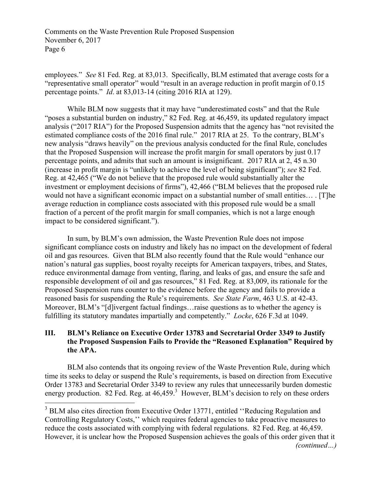employees." *See* 81 Fed. Reg. at 83,013. Specifically, BLM estimated that average costs for a "representative small operator" would "result in an average reduction in profit margin of 0.15 percentage points." *Id*. at 83,013-14 (citing 2016 RIA at 129).

While BLM now suggests that it may have "underestimated costs" and that the Rule "poses a substantial burden on industry," 82 Fed. Reg. at 46,459, its updated regulatory impact analysis ("2017 RIA") for the Proposed Suspension admits that the agency has "not revisited the estimated compliance costs of the 2016 final rule." 2017 RIA at 25. To the contrary, BLM's new analysis "draws heavily" on the previous analysis conducted for the final Rule, concludes that the Proposed Suspension will increase the profit margin for small operators by just 0.17 percentage points, and admits that such an amount is insignificant. 2017 RIA at 2, 45 n.30 (increase in profit margin is "unlikely to achieve the level of being significant"); *see* 82 Fed. Reg. at 42,465 ("We do not believe that the proposed rule would substantially alter the investment or employment decisions of firms"), 42,466 ("BLM believes that the proposed rule would not have a significant economic impact on a substantial number of small entities… . [T]he average reduction in compliance costs associated with this proposed rule would be a small fraction of a percent of the profit margin for small companies, which is not a large enough impact to be considered significant.").

In sum, by BLM's own admission, the Waste Prevention Rule does not impose significant compliance costs on industry and likely has no impact on the development of federal oil and gas resources. Given that BLM also recently found that the Rule would "enhance our nation's natural gas supplies, boost royalty receipts for American taxpayers, tribes, and States, reduce environmental damage from venting, flaring, and leaks of gas, and ensure the safe and responsible development of oil and gas resources," 81 Fed. Reg. at 83,009, its rationale for the Proposed Suspension runs counter to the evidence before the agency and fails to provide a reasoned basis for suspending the Rule's requirements. *See State Farm*, 463 U.S. at 42-43. Moreover, BLM's "[d]ivergent factual findings…raise questions as to whether the agency is fulfilling its statutory mandates impartially and competently." *Locke*, 626 F.3d at 1049.

# **III. BLM's Reliance on Executive Order 13783 and Secretarial Order 3349 to Justify the Proposed Suspension Fails to Provide the "Reasoned Explanation" Required by the APA.**

BLM also contends that its ongoing review of the Waste Prevention Rule, during which time its seeks to delay or suspend the Rule's requirements, is based on direction from Executive Order 13783 and Secretarial Order 3349 to review any rules that unnecessarily burden domestic energy production. 82 Fed. Reg. at  $46,459$ <sup>3</sup> However, BLM's decision to rely on these orders

<sup>&</sup>lt;sup>3</sup> BLM also cites direction from Executive Order 13771, entitled "Reducing Regulation and Controlling Regulatory Costs,'' which requires federal agencies to take proactive measures to reduce the costs associated with complying with federal regulations. 82 Fed. Reg. at 46,459. However, it is unclear how the Proposed Suspension achieves the goals of this order given that it *(continued…)*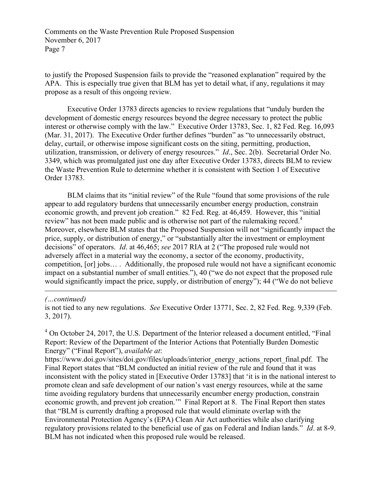to justify the Proposed Suspension fails to provide the "reasoned explanation" required by the APA. This is especially true given that BLM has yet to detail what, if any, regulations it may propose as a result of this ongoing review.

Executive Order 13783 directs agencies to review regulations that "unduly burden the development of domestic energy resources beyond the degree necessary to protect the public interest or otherwise comply with the law." Executive Order 13783, Sec. 1, 82 Fed. Reg. 16,093 (Mar. 31, 2017). The Executive Order further defines "burden" as "to unnecessarily obstruct, delay, curtail, or otherwise impose significant costs on the siting, permitting, production, utilization, transmission, or delivery of energy resources." *Id*., Sec. 2(b). Secretarial Order No. 3349, which was promulgated just one day after Executive Order 13783, directs BLM to review the Waste Prevention Rule to determine whether it is consistent with Section 1 of Executive Order 13783.

BLM claims that its "initial review" of the Rule "found that some provisions of the rule appear to add regulatory burdens that unnecessarily encumber energy production, constrain economic growth, and prevent job creation." 82 Fed. Reg. at 46,459. However, this "initial review" has not been made public and is otherwise not part of the rulemaking record.<sup>4</sup> Moreover, elsewhere BLM states that the Proposed Suspension will not "significantly impact the price, supply, or distribution of energy," or "substantially alter the investment or employment decisions" of operators. *Id*. at 46,465; *see* 2017 RIA at 2 ("The proposed rule would not adversely affect in a material way the economy, a sector of the economy, productivity, competition, [or] jobs… . Additionally, the proposed rule would not have a significant economic impact on a substantial number of small entities."), 40 ("we do not expect that the proposed rule would significantly impact the price, supply, or distribution of energy"); 44 ("We do not believe

*(…continued)*

 $\overline{a}$ 

 $4$  On October 24, 2017, the U.S. Department of the Interior released a document entitled, "Final" Report: Review of the Department of the Interior Actions that Potentially Burden Domestic Energy" ("Final Report"), *available at*:

https://www.doi.gov/sites/doi.gov/files/uploads/interior\_energy\_actions\_report\_final.pdf. The Final Report states that "BLM conducted an initial review of the rule and found that it was inconsistent with the policy stated in [Executive Order 13783] that 'it is in the national interest to promote clean and safe development of our nation's vast energy resources, while at the same time avoiding regulatory burdens that unnecessarily encumber energy production, constrain economic growth, and prevent job creation.'" Final Report at 8. The Final Report then states that "BLM is currently drafting a proposed rule that would eliminate overlap with the Environmental Protection Agency's (EPA) Clean Air Act authorities while also clarifying regulatory provisions related to the beneficial use of gas on Federal and Indian lands." *Id*. at 8-9. BLM has not indicated when this proposed rule would be released.

is not tied to any new regulations. *See* Executive Order 13771, Sec. 2, 82 Fed. Reg. 9,339 (Feb. 3, 2017).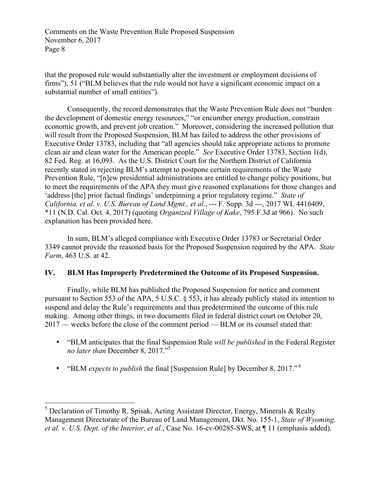that the proposed rule would substantially alter the investment or employment decisions of firms"), 51 ("BLM believes that the rule would not have a significant economic impact on a substantial number of small entities").

Consequently, the record demonstrates that the Waste Prevention Rule does not "burden the development of domestic energy resources," "or encumber energy production, constrain economic growth, and prevent job creation." Moreover, considering the increased pollution that will result from the Proposed Suspension, BLM has failed to address the other provisions of Executive Order 13783, including that "all agencies should take appropriate actions to promote clean air and clean water for the American people." *See* Executive Order 13783, Section 1(d), 82 Fed. Reg. at 16,093. As the U.S. District Court for the Northern District of California recently stated in rejecting BLM's attempt to postpone certain requirements of the Waste Prevention Rule, "[n]ew presidential administrations are entitled to change policy positions, but to meet the requirements of the APA they must give reasoned explanations for those changes and 'address [the] prior factual findings' underpinning a prior regulatory regime." *State of California, et al. v. U.S. Bureau of Land Mgmt., et al*., --- F. Supp. 3d ---, 2017 WL 4416409, \*11 (N.D. Cal. Oct. 4, 2017) (quoting *Organized Village of Kake*, 795 F.3d at 966). No such explanation has been provided here.

In sum, BLM's alleged compliance with Executive Order 13783 or Secretarial Order 3349 cannot provide the reasoned basis for the Proposed Suspension required by the APA. *State Farm*, 463 U.S. at 42.

# **IV. BLM Has Improperly Predetermined the Outcome of its Proposed Suspension.**

Finally, while BLM has published the Proposed Suspension for notice and comment pursuant to Section 553 of the APA, 5 U.S.C. § 553, it has already publicly stated its intention to suspend and delay the Rule's requirements and thus predetermined the outcome of this rule making. Among other things, in two documents filed in federal district court on October 20, 2017 — weeks before the close of the comment period — BLM or its counsel stated that:

- "BLM anticipates that the final Suspension Rule *will be published* in the Federal Register *no later than* December 8, 2017."5
- "BLM *expects to publish* the final [Suspension Rule] by December 8, 2017." <sup>6</sup>

 $5$  Declaration of Timothy R. Spisak, Acting Assistant Director, Energy, Minerals & Realty Management Directorate of the Bureau of Land Management, Dkt. No. 155-1, *State of Wyoming, et al. v. U.S. Dept. of the Interior, et al*., Case No. 16-cv-00285-SWS, at ¶ 11 (emphasis added).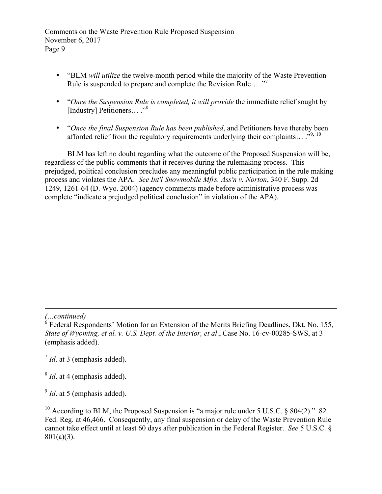- "BLM *will utilize* the twelve-month period while the majority of the Waste Prevention Rule is suspended to prepare and complete the Revision Rule… ."<sup>7</sup>
- "*Once the Suspension Rule is completed, it will provide* the immediate relief sought by [Industry] Petitioners... ."<sup>8</sup>
- "*Once the final Suspension Rule has been published*, and Petitioners have thereby been afforded relief from the regulatory requirements underlying their complaints...  $\cdot^{9, 10}$

BLM has left no doubt regarding what the outcome of the Proposed Suspension will be, regardless of the public comments that it receives during the rulemaking process. This prejudged, political conclusion precludes any meaningful public participation in the rule making process and violates the APA. *See Int'l Snowmobile Mfrs. Ass'n v. Norton*, 340 F. Supp. 2d 1249, 1261-64 (D. Wyo. 2004) (agency comments made before administrative process was complete "indicate a prejudged political conclusion" in violation of the APA).

*(…continued)*

 $\overline{a}$ 

<sup>7</sup> *Id*. at 3 (emphasis added).

<sup>8</sup> *Id*. at 4 (emphasis added).

<sup>9</sup> *Id.* at 5 (emphasis added).

 $6$  Federal Respondents' Motion for an Extension of the Merits Briefing Deadlines, Dkt. No. 155, *State of Wyoming, et al. v. U.S. Dept. of the Interior, et al*., Case No. 16-cv-00285-SWS, at 3 (emphasis added).

<sup>&</sup>lt;sup>10</sup> According to BLM, the Proposed Suspension is "a major rule under 5 U.S.C. § 804(2)." 82 Fed. Reg. at 46,466. Consequently, any final suspension or delay of the Waste Prevention Rule cannot take effect until at least 60 days after publication in the Federal Register. *See* 5 U.S.C. § 801(a)(3).